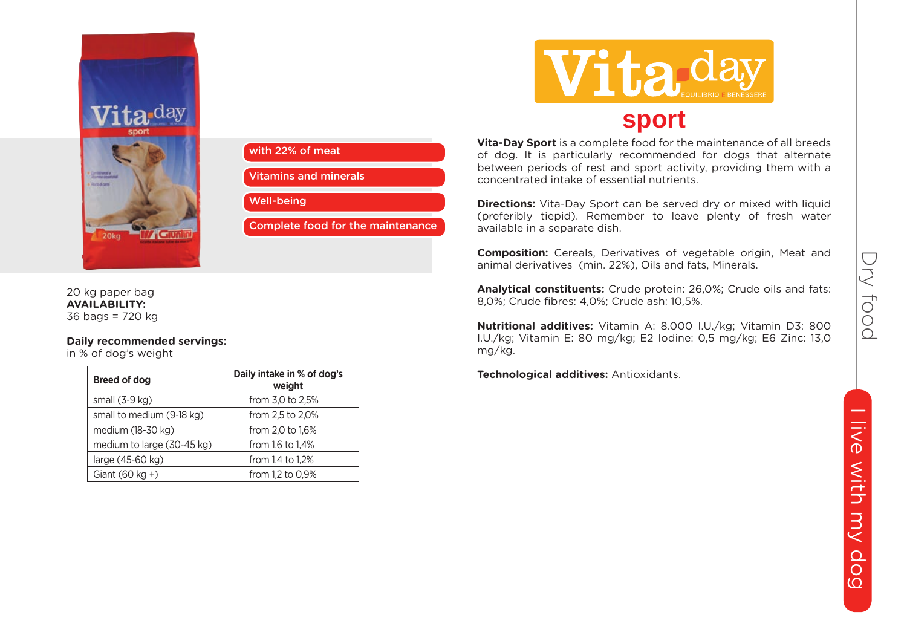



20 kg paper bag **AVAILABILITY:** 36 bags = 720 kg

## **Daily recommended servings:**

in % of dog's weight

| Breed of dog               | Daily intake in % of dog's<br>weight |
|----------------------------|--------------------------------------|
| small $(3-9$ kg)           | from 3,0 to 2,5%                     |
| small to medium (9-18 kg)  | from 2.5 to 2.0%                     |
| medium (18-30 kg)          | from 2,0 to 1,6%                     |
| medium to large (30-45 kg) | from 1.6 to 1.4%                     |
| large (45-60 kg)           | from 1.4 to 1.2%                     |
| Giant $(60 \text{ kg} + )$ | from 1.2 to 0.9%                     |



**Vita-Day Sport** is a complete food for the maintenance of all breeds of dog. It is particularly recommended for dogs that alternate between periods of rest and sport activity, providing them with a concentrated intake of essential nutrients.

**Directions:** Vita-Day Sport can be served dry or mixed with liquid (preferibly tiepid). Remember to leave plenty of fresh water available in a separate dish.

**Composition:** Cereals, Derivatives of vegetable origin, Meat and animal derivatives (min. 22%), Oils and fats, Minerals.

**Analytical constituents:** Crude protein: 26,0%; Crude oils and fats: 8,0%; Crude fibres: 4,0%; Crude ash: 10,5%.

**Nutritional additives:** Vitamin A: 8.000 I.U./kg; Vitamin D3: 800 I.U./kg; Vitamin E: 80 mg/kg; E2 Iodine: 0,5 mg/kg; E6 Zinc: 13,0 mg/kg.

**Technological additives:** Antioxidants.